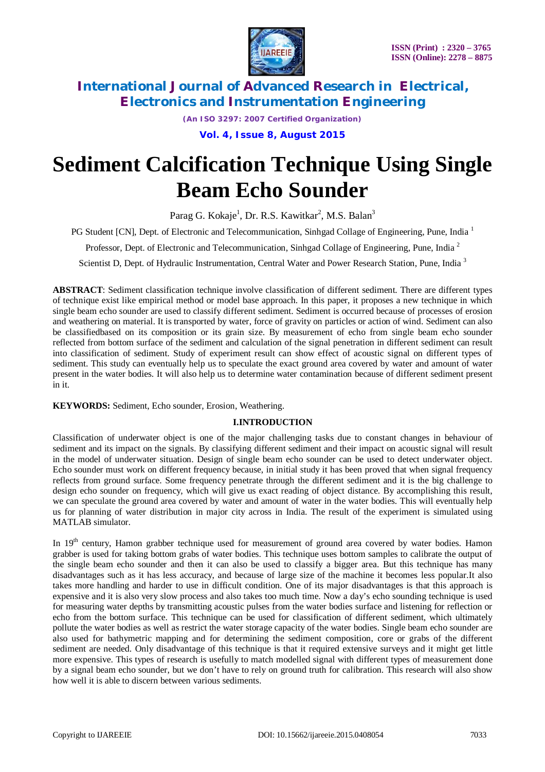

*(An ISO 3297: 2007 Certified Organization)*

**Vol. 4, Issue 8, August 2015**

# **Sediment Calcification Technique Using Single Beam Echo Sounder**

Parag G. Kokaje<sup>1</sup>, Dr. R.S. Kawitkar<sup>2</sup>, M.S. Balan<sup>3</sup>

PG Student [CN], Dept. of Electronic and Telecommunication, Sinhgad Collage of Engineering, Pune, India<sup>1</sup>

Professor, Dept. of Electronic and Telecommunication, Sinhgad Collage of Engineering, Pune, India <sup>2</sup>

Scientist D, Dept. of Hydraulic Instrumentation, Central Water and Power Research Station, Pune, India<sup>3</sup>

**ABSTRACT**: Sediment classification technique involve classification of different sediment. There are different types of technique exist like empirical method or model base approach. In this paper, it proposes a new technique in which single beam echo sounder are used to classify different sediment. Sediment is occurred because of processes of erosion and weathering on material. It is transported by water, force of gravity on particles or action of wind. Sediment can also be classifiedbased on its composition or its grain size. By measurement of echo from single beam echo sounder reflected from bottom surface of the sediment and calculation of the signal penetration in different sediment can result into classification of sediment. Study of experiment result can show effect of acoustic signal on different types of sediment. This study can eventually help us to speculate the exact ground area covered by water and amount of water present in the water bodies. It will also help us to determine water contamination because of different sediment present in it.

**KEYWORDS:** Sediment, Echo sounder, Erosion, Weathering.

#### **I.INTRODUCTION**

Classification of underwater object is one of the major challenging tasks due to constant changes in behaviour of sediment and its impact on the signals. By classifying different sediment and their impact on acoustic signal will result in the model of underwater situation. Design of single beam echo sounder can be used to detect underwater object. Echo sounder must work on different frequency because, in initial study it has been proved that when signal frequency reflects from ground surface. Some frequency penetrate through the different sediment and it is the big challenge to design echo sounder on frequency, which will give us exact reading of object distance. By accomplishing this result, we can speculate the ground area covered by water and amount of water in the water bodies. This will eventually help us for planning of water distribution in major city across in India. The result of the experiment is simulated using MATLAB simulator.

In 19<sup>th</sup> century, Hamon grabber technique used for measurement of ground area covered by water bodies. Hamon grabber is used for taking bottom grabs of water bodies. This technique uses bottom samples to calibrate the output of the single beam echo sounder and then it can also be used to classify a bigger area. But this technique has many disadvantages such as it has less accuracy, and because of large size of the machine it becomes less popular.It also takes more handling and harder to use in difficult condition. One of its major disadvantages is that this approach is expensive and it is also very slow process and also takes too much time. Now a day's echo sounding technique is used for measuring water depths by transmitting acoustic pulses from the water bodies surface and listening for reflection or echo from the bottom surface. This technique can be used for classification of different sediment, which ultimately pollute the water bodies as well as restrict the water storage capacity of the water bodies. Single beam echo sounder are also used for bathymetric mapping and for determining the sediment composition, core or grabs of the different sediment are needed. Only disadvantage of this technique is that it required extensive surveys and it might get little more expensive. This types of research is usefully to match modelled signal with different types of measurement done by a signal beam echo sounder, but we don't have to rely on ground truth for calibration. This research will also show how well it is able to discern between various sediments.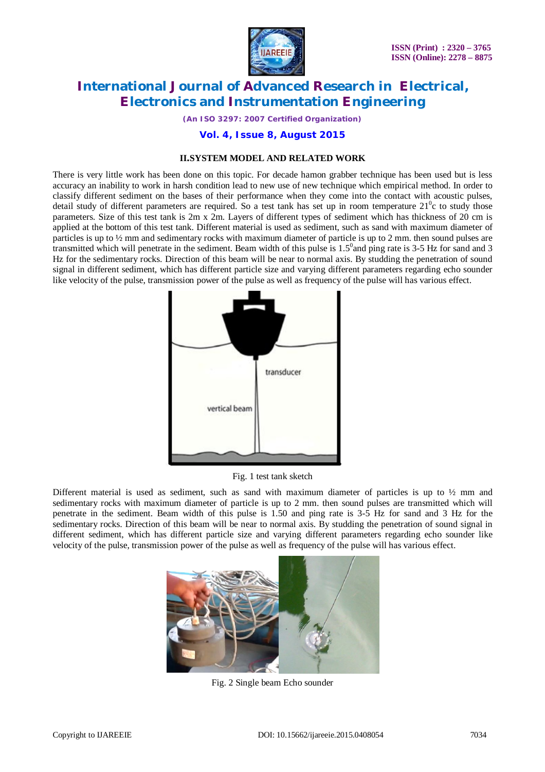

*(An ISO 3297: 2007 Certified Organization)*

**Vol. 4, Issue 8, August 2015**

### **II.SYSTEM MODEL AND RELATED WORK**

There is very little work has been done on this topic. For decade hamon grabber technique has been used but is less accuracy an inability to work in harsh condition lead to new use of new technique which empirical method. In order to classify different sediment on the bases of their performance when they come into the contact with acoustic pulses, detail study of different parameters are required. So a test tank has set up in room temperature  $21^0c$  to study those parameters. Size of this test tank is 2m x 2m. Layers of different types of sediment which has thickness of 20 cm is applied at the bottom of this test tank. Different material is used as sediment, such as sand with maximum diameter of particles is up to ½ mm and sedimentary rocks with maximum diameter of particle is up to 2 mm. then sound pulses are transmitted which will penetrate in the sediment. Beam width of this pulse is  $1.5^{\circ}$  and ping rate is 3-5 Hz for sand and 3 Hz for the sedimentary rocks. Direction of this beam will be near to normal axis. By studding the penetration of sound signal in different sediment, which has different particle size and varying different parameters regarding echo sounder like velocity of the pulse, transmission power of the pulse as well as frequency of the pulse will has various effect.



Fig. 1 test tank sketch

Different material is used as sediment, such as sand with maximum diameter of particles is up to ½ mm and sedimentary rocks with maximum diameter of particle is up to 2 mm. then sound pulses are transmitted which will penetrate in the sediment. Beam width of this pulse is 1.50 and ping rate is 3-5 Hz for sand and 3 Hz for the sedimentary rocks. Direction of this beam will be near to normal axis. By studding the penetration of sound signal in different sediment, which has different particle size and varying different parameters regarding echo sounder like velocity of the pulse, transmission power of the pulse as well as frequency of the pulse will has various effect.



Fig. 2 Single beam Echo sounder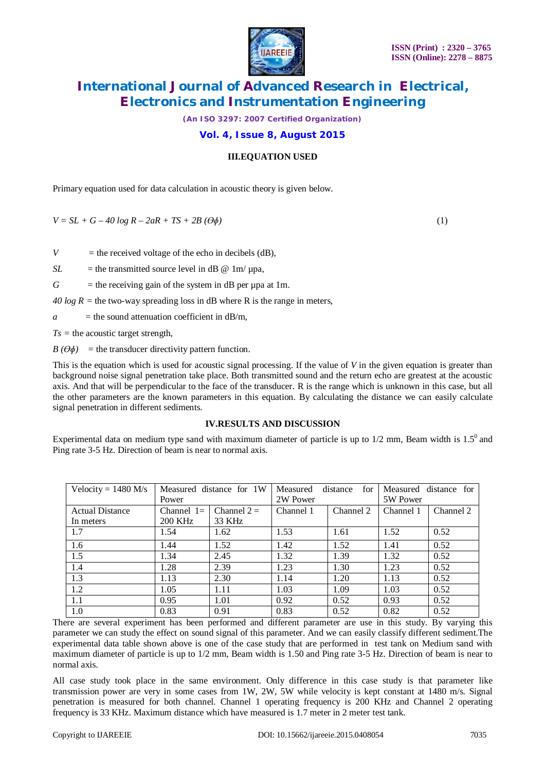

*(An ISO 3297: 2007 Certified Organization)*

**Vol. 4, Issue 8, August 2015**

#### **III.EQUATION USED**

Primary equation used for data calculation in acoustic theory is given below.

 $V = SL + G - 40 \log R - 2aR + TS + 2B (\Theta \phi)$  (1)

*V* = the received voltage of the echo in decibels (dB),

 $SL$  = the transmitted source level in dB  $@$  1m/  $\mu$ pa,

 $G =$  the receiving gain of the system in dB per upa at 1m.

*40 log R = the two-way spreading loss in dB where R is the range in meters,* 

 $a =$  the sound attenuation coefficient in dB/m,

 $Ts =$  the acoustic target strength,

 $B(\Theta \phi)$  = the transducer directivity pattern function.

This is the equation which is used for acoustic signal processing. If the value of *V* in the given equation is greater than background noise signal penetration take place. Both transmitted sound and the return echo are greatest at the acoustic axis. And that will be perpendicular to the face of the transducer. R is the range which is unknown in this case, but all the other parameters are the known parameters in this equation. By calculating the distance we can easily calculate signal penetration in different sediments.

#### **IV.RESULTS AND DISCUSSION**

Experimental data on medium type sand with maximum diameter of particle is up to  $1/2$  mm, Beam width is  $1.5^{\circ}$  and Ping rate 3-5 Hz. Direction of beam is near to normal axis.

| Velocity = $1480$ M/s  | Measured distance for 1W |              | Measured  | distance<br>for |           | Measured distance for |
|------------------------|--------------------------|--------------|-----------|-----------------|-----------|-----------------------|
|                        | Power                    |              | 2W Power  |                 | 5W Power  |                       |
| <b>Actual Distance</b> | Channel $1=$             | Channel $2=$ | Channel 1 | Channel 2       | Channel 1 | Channel 2             |
| In meters              | <b>200 KHz</b>           | 33 KHz       |           |                 |           |                       |
| 1.7                    | 1.54                     | 1.62         | 1.53      | 1.61            | 1.52      | 0.52                  |
| 1.6                    | 1.44                     | 1.52         | 1.42      | 1.52            | 1.41      | 0.52                  |
| 1.5                    | 1.34                     | 2.45         | 1.32      | 1.39            | 1.32      | 0.52                  |
| 1.4                    | 1.28                     | 2.39         | 1.23      | 1.30            | 1.23      | 0.52                  |
| 1.3                    | 1.13                     | 2.30         | 1.14      | 1.20            | 1.13      | 0.52                  |
| 1.2                    | 1.05                     | 1.11         | 1.03      | 1.09            | 1.03      | 0.52                  |
| 1.1                    | 0.95                     | 1.01         | 0.92      | 0.52            | 0.93      | 0.52                  |
| 1.0                    | 0.83                     | 0.91         | 0.83      | 0.52            | 0.82      | 0.52                  |

There are several experiment has been performed and different parameter are use in this study. By varying this parameter we can study the effect on sound signal of this parameter. And we can easily classify different sediment.The experimental data table shown above is one of the case study that are performed in test tank on Medium sand with maximum diameter of particle is up to 1/2 mm, Beam width is 1.50 and Ping rate 3-5 Hz. Direction of beam is near to normal axis.

All case study took place in the same environment. Only difference in this case study is that parameter like transmission power are very in some cases from 1W, 2W, 5W while velocity is kept constant at 1480 m/s. Signal penetration is measured for both channel. Channel 1 operating frequency is 200 KHz and Channel 2 operating frequency is 33 KHz. Maximum distance which have measured is 1.7 meter in 2 meter test tank.